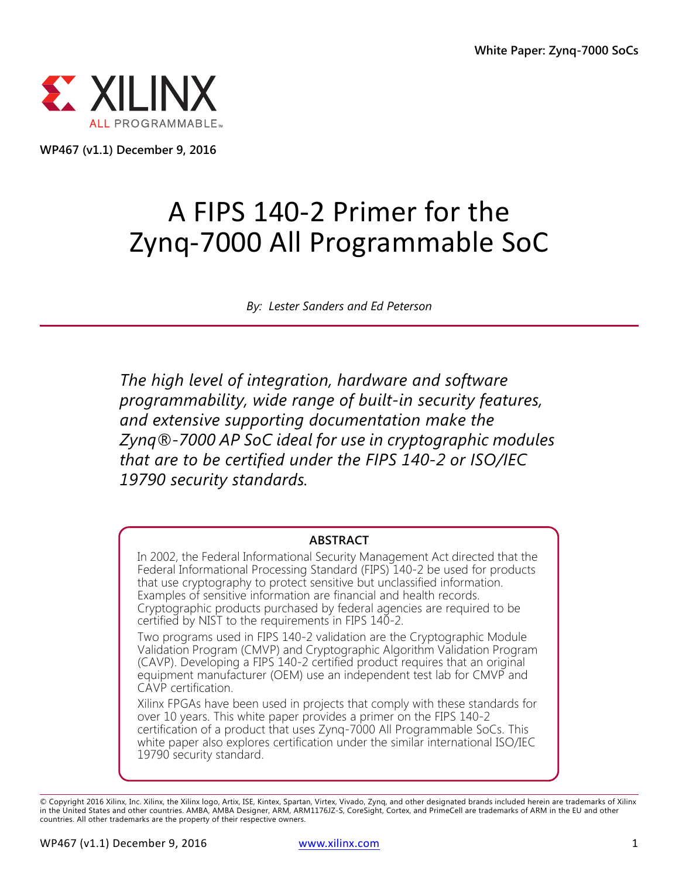

**WP467 (v1.1) December 9, 2016**

# A FIPS 140-2 Primer for the Zynq-7000 All Programmable SoC

*By: Lester Sanders and Ed Peterson*

*The high level of integration, hardware and software programmability, wide range of built-in security features, and extensive supporting documentation make the Zynq®-7000 AP SoC ideal for use in cryptographic modules that are to be certified under the FIPS 140-2 or ISO/IEC 19790 security standards.*

#### **ABSTRACT**

In 2002, the Federal Informational Security Management Act directed that the Federal Informational Processing Standard (FIPS) 140-2 be used for products that use cryptography to protect sensitive but unclassified information. Examples of sensitive information are financial and health records. Cryptographic products purchased by federal agencies are required to be certified by NIST to the requirements in FIPS 140-2.

Two programs used in FIPS 140-2 validation are the Cryptographic Module Validation Program (CMVP) and Cryptographic Algorithm Validation Program (CAVP). Developing a FIPS 140-2 certified product requires that an original equipment manufacturer (OEM) use an independent test lab for CMVP and CAVP certification.

Xilinx FPGAs have been used in projects that comply with these standards for over 10 years. This white paper provides a primer on the FIPS 140-2 certification of a product that uses Zynq-7000 All Programmable SoCs. This white paper also explores certification under the similar international ISO/IEC 19790 security standard.

<sup>©</sup> Copyright 2016 Xilinx, Inc. Xilinx, the Xilinx logo, Artix, ISE, Kintex, Spartan, Virtex, Vivado, Zynq, and other designated brands included herein are trademarks of Xilinx<br>in the United States and other countries. AMBA, countries. All other trademarks are the property of their respective owners.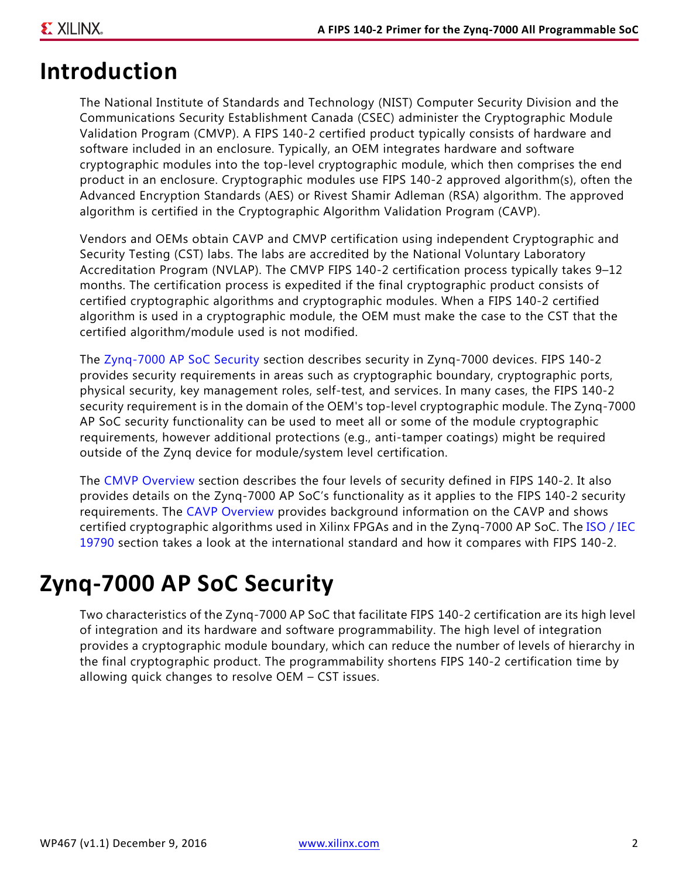## **Introduction**

The National Institute of Standards and Technology (NIST) Computer Security Division and the Communications Security Establishment Canada (CSEC) administer the Cryptographic Module Validation Program (CMVP). A FIPS 140-2 certified product typically consists of hardware and software included in an enclosure. Typically, an OEM integrates hardware and software cryptographic modules into the top-level cryptographic module, which then comprises the end product in an enclosure. Cryptographic modules use FIPS 140-2 approved algorithm(s), often the Advanced Encryption Standards (AES) or Rivest Shamir Adleman (RSA) algorithm. The approved algorithm is certified in the Cryptographic Algorithm Validation Program (CAVP).

Vendors and OEMs obtain CAVP and CMVP certification using independent Cryptographic and Security Testing (CST) labs. The labs are accredited by the National Voluntary Laboratory Accreditation Program (NVLAP). The CMVP FIPS 140-2 certification process typically takes 9–12 months. The certification process is expedited if the final cryptographic product consists of certified cryptographic algorithms and cryptographic modules. When a FIPS 140-2 certified algorithm is used in a cryptographic module, the OEM must make the case to the CST that the certified algorithm/module used is not modified.

The [Zynq-7000 AP SoC Security](#page-1-0) section describes security in Zynq-7000 devices. FIPS 140-2 provides security requirements in areas such as cryptographic boundary, cryptographic ports, physical security, key management roles, self-test, and services. In many cases, the FIPS 140-2 security requirement is in the domain of the OEM's top-level cryptographic module. The Zynq-7000 AP SoC security functionality can be used to meet all or some of the module cryptographic requirements, however additional protections (e.g., anti-tamper coatings) might be required outside of the Zynq device for module/system level certification.

The [CMVP Overview](#page-4-0) section describes the four levels of security defined in FIPS 140-2. It also provides details on the Zynq-7000 AP SoC's functionality as it applies to the FIPS 140-2 security requirements. The [CAVP Overview](#page-10-0) provides background information on the CAVP and shows certified cryptographic algorithms used in Xilinx FPGAs and in the Zynq-7000 AP SoC. The [ISO / IEC](#page-11-0)  [19790](#page-11-0) section takes a look at the international standard and how it compares with FIPS 140-2.

## <span id="page-1-0"></span>**Zynq-7000 AP SoC Security**

Two characteristics of the Zynq-7000 AP SoC that facilitate FIPS 140-2 certification are its high level of integration and its hardware and software programmability. The high level of integration provides a cryptographic module boundary, which can reduce the number of levels of hierarchy in the final cryptographic product. The programmability shortens FIPS 140-2 certification time by allowing quick changes to resolve OEM – CST issues.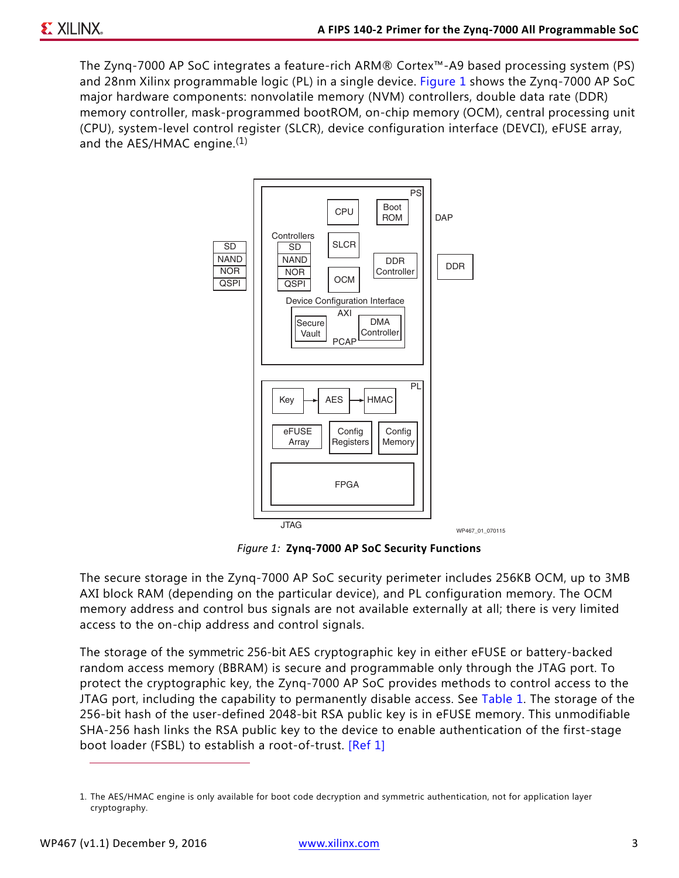<span id="page-2-0"></span>The Zynq-7000 AP SoC integrates a feature-rich ARM® Cortex™-A9 based processing system (PS) and 28nm Xilinx programmable logic (PL) in a single device. [Figure 1](#page-2-0) shows the Zynq-7000 AP SoC major hardware components: nonvolatile memory (NVM) controllers, double data rate (DDR) memory controller, mask-programmed bootROM, on-chip memory (OCM), central processing unit (CPU), system-level control register (SLCR), device configuration interface (DEVCI), eFUSE array, and the AES/HMAC engine.<sup>(1)</sup>



*Figure 1:* **Zynq-7000 AP SoC Security Functions**

The secure storage in the Zynq-7000 AP SoC security perimeter includes 256KB OCM, up to 3MB AXI block RAM (depending on the particular device), and PL configuration memory. The OCM memory address and control bus signals are not available externally at all; there is very limited access to the on-chip address and control signals.

The storage of the symmetric 256-bit AES cryptographic key in either eFUSE or battery-backed random access memory (BBRAM) is secure and programmable only through the JTAG port. To protect the cryptographic key, the Zynq-7000 AP SoC provides methods to control access to the JTAG port, including the capability to permanently disable access. See [Table 1](#page-3-0). The storage of the 256-bit hash of the user-defined 2048-bit RSA public key is in eFUSE memory. This unmodifiable SHA-256 hash links the RSA public key to the device to enable authentication of the first-stage boot loader (FSBL) to establish a root-of-trust. [\[Ref 1\]](#page-13-0)

<sup>1.</sup> The AES/HMAC engine is only available for boot code decryption and symmetric authentication, not for application layer cryptography.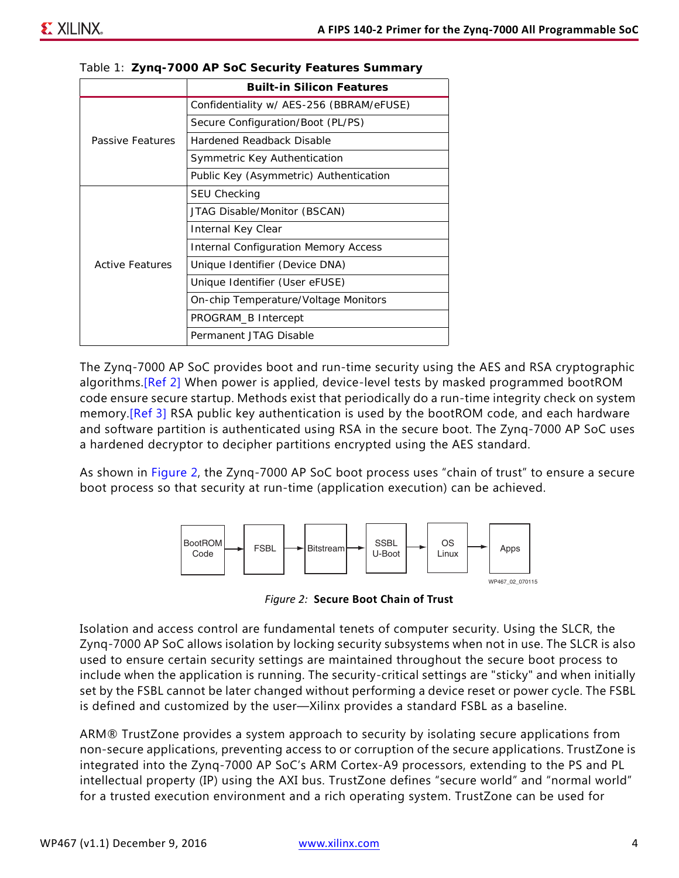|                  | <b>Built-in Silicon Features</b>            |
|------------------|---------------------------------------------|
| Passive Features | Confidentiality w/ AES-256 (BBRAM/eFUSE)    |
|                  | Secure Configuration/Boot (PL/PS)           |
|                  | Hardened Readback Disable                   |
|                  | Symmetric Key Authentication                |
|                  | Public Key (Asymmetric) Authentication      |
| Active Features  | SEU Checking                                |
|                  | JTAG Disable/Monitor (BSCAN)                |
|                  | Internal Key Clear                          |
|                  | <b>Internal Configuration Memory Access</b> |
|                  | Unique Identifier (Device DNA)              |
|                  | Unique Identifier (User eFUSE)              |
|                  | On-chip Temperature/Voltage Monitors        |
|                  | PROGRAM_B Intercept                         |
|                  | Permanent JTAG Disable                      |

<span id="page-3-0"></span>

The Zynq-7000 AP SoC provides boot and run-time security using the AES and RSA cryptographic algorithms.[\[Ref 2\]](#page-13-1) When power is applied, device-level tests by masked programmed bootROM code ensure secure startup. Methods exist that periodically do a run-time integrity check on system memory.[\[Ref 3\]](#page-13-2) RSA public key authentication is used by the bootROM code, and each hardware and software partition is authenticated using RSA in the secure boot. The Zynq-7000 AP SoC uses a hardened decryptor to decipher partitions encrypted using the AES standard.

<span id="page-3-1"></span>As shown in [Figure 2](#page-3-1), the Zynq-7000 AP SoC boot process uses "chain of trust" to ensure a secure boot process so that security at run-time (application execution) can be achieved.



*Figure 2:* **Secure Boot Chain of Trust**

Isolation and access control are fundamental tenets of computer security. Using the SLCR, the Zynq-7000 AP SoC allows isolation by locking security subsystems when not in use. The SLCR is also used to ensure certain security settings are maintained throughout the secure boot process to include when the application is running. The security-critical settings are "sticky" and when initially set by the FSBL cannot be later changed without performing a device reset or power cycle. The FSBL is defined and customized by the user—Xilinx provides a standard FSBL as a baseline.

ARM® TrustZone provides a system approach to security by isolating secure applications from non-secure applications, preventing access to or corruption of the secure applications. TrustZone is integrated into the Zynq-7000 AP SoC's ARM Cortex-A9 processors, extending to the PS and PL intellectual property (IP) using the AXI bus. TrustZone defines "secure world" and "normal world" for a trusted execution environment and a rich operating system. TrustZone can be used for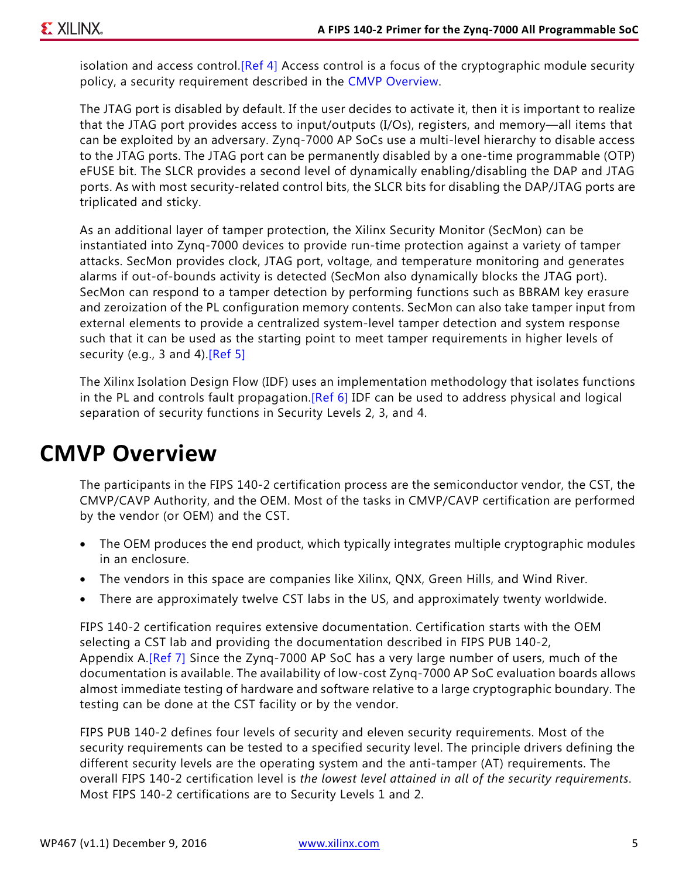isolation and access control. [\[Ref 4\]](#page-13-3) Access control is a focus of the cryptographic module security policy, a security requirement described in the [CMVP Overview.](#page-4-0)

The JTAG port is disabled by default. If the user decides to activate it, then it is important to realize that the JTAG port provides access to input/outputs (I/Os), registers, and memory—all items that can be exploited by an adversary. Zynq-7000 AP SoCs use a multi-level hierarchy to disable access to the JTAG ports. The JTAG port can be permanently disabled by a one-time programmable (OTP) eFUSE bit. The SLCR provides a second level of dynamically enabling/disabling the DAP and JTAG ports. As with most security-related control bits, the SLCR bits for disabling the DAP/JTAG ports are triplicated and sticky.

As an additional layer of tamper protection, the Xilinx Security Monitor (SecMon) can be instantiated into Zynq-7000 devices to provide run-time protection against a variety of tamper attacks. SecMon provides clock, JTAG port, voltage, and temperature monitoring and generates alarms if out-of-bounds activity is detected (SecMon also dynamically blocks the JTAG port). SecMon can respond to a tamper detection by performing functions such as BBRAM key erasure and zeroization of the PL configuration memory contents. SecMon can also take tamper input from external elements to provide a centralized system-level tamper detection and system response such that it can be used as the starting point to meet tamper requirements in higher levels of security (e.g., 3 and 4). [\[Ref 5\]](#page-13-6)

The Xilinx Isolation Design Flow (IDF) uses an implementation methodology that isolates functions in the PL and controls fault propagation.[\[Ref 6\]](#page-13-4) IDF can be used to address physical and logical separation of security functions in Security Levels 2, 3, and 4.

### <span id="page-4-0"></span>**CMVP Overview**

The participants in the FIPS 140-2 certification process are the semiconductor vendor, the CST, the CMVP/CAVP Authority, and the OEM. Most of the tasks in CMVP/CAVP certification are performed by the vendor (or OEM) and the CST.

- The OEM produces the end product, which typically integrates multiple cryptographic modules in an enclosure.
- The vendors in this space are companies like Xilinx, QNX, Green Hills, and Wind River.
- There are approximately twelve CST labs in the US, and approximately twenty worldwide.

FIPS 140-2 certification requires extensive documentation. Certification starts with the OEM selecting a CST lab and providing the documentation described in FIPS PUB 140-2, Appendix A.<sup>[Ref 7]</sup> Since the Zyng-7000 AP SoC has a very large number of users, much of the documentation is available. The availability of low-cost Zynq-7000 AP SoC evaluation boards allows almost immediate testing of hardware and software relative to a large cryptographic boundary. The testing can be done at the CST facility or by the vendor.

FIPS PUB 140-2 defines four levels of security and eleven security requirements. Most of the security requirements can be tested to a specified security level. The principle drivers defining the different security levels are the operating system and the anti-tamper (AT) requirements. The overall FIPS 140-2 certification level is *the lowest level attained in all of the security requirements*. Most FIPS 140-2 certifications are to Security Levels 1 and 2.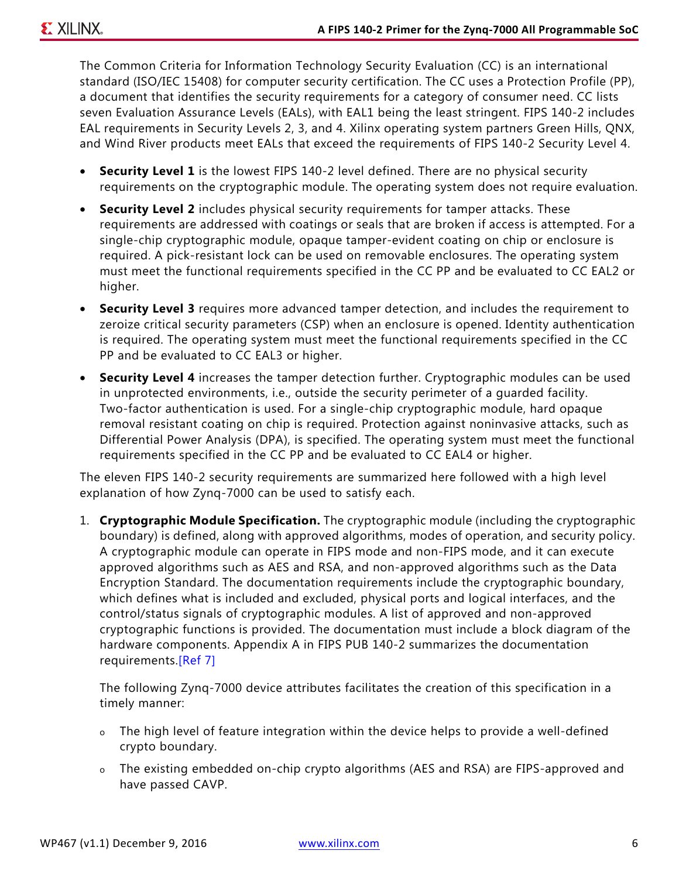The Common Criteria for Information Technology Security Evaluation (CC) is an international standard (ISO/IEC 15408) for computer security certification. The CC uses a Protection Profile (PP), a document that identifies the security requirements for a category of consumer need. CC lists seven Evaluation Assurance Levels (EALs), with EAL1 being the least stringent. FIPS 140-2 includes EAL requirements in Security Levels 2, 3, and 4. Xilinx operating system partners Green Hills, QNX, and Wind River products meet EALs that exceed the requirements of FIPS 140-2 Security Level 4.

- **Security Level 1** is the lowest FIPS 140-2 level defined. There are no physical security requirements on the cryptographic module. The operating system does not require evaluation.
- **Security Level 2** includes physical security requirements for tamper attacks. These requirements are addressed with coatings or seals that are broken if access is attempted. For a single-chip cryptographic module, opaque tamper-evident coating on chip or enclosure is required. A pick-resistant lock can be used on removable enclosures. The operating system must meet the functional requirements specified in the CC PP and be evaluated to CC EAL2 or higher.
- **Security Level 3** requires more advanced tamper detection, and includes the requirement to zeroize critical security parameters (CSP) when an enclosure is opened. Identity authentication is required. The operating system must meet the functional requirements specified in the CC PP and be evaluated to CC EAL3 or higher.
- **Security Level 4** increases the tamper detection further. Cryptographic modules can be used in unprotected environments, i.e., outside the security perimeter of a guarded facility. Two-factor authentication is used. For a single-chip cryptographic module, hard opaque removal resistant coating on chip is required. Protection against noninvasive attacks, such as Differential Power Analysis (DPA), is specified. The operating system must meet the functional requirements specified in the CC PP and be evaluated to CC EAL4 or higher.

The eleven FIPS 140-2 security requirements are summarized here followed with a high level explanation of how Zynq-7000 can be used to satisfy each.

1. **Cryptographic Module Specification.** The cryptographic module (including the cryptographic boundary) is defined, along with approved algorithms, modes of operation, and security policy. A cryptographic module can operate in FIPS mode and non-FIPS mode, and it can execute approved algorithms such as AES and RSA, and non-approved algorithms such as the Data Encryption Standard. The documentation requirements include the cryptographic boundary, which defines what is included and excluded, physical ports and logical interfaces, and the control/status signals of cryptographic modules. A list of approved and non-approved cryptographic functions is provided. The documentation must include a block diagram of the hardware components. Appendix A in FIPS PUB 140-2 summarizes the documentation requirements.[\[Ref 7\]](#page-13-5)

The following Zynq-7000 device attributes facilitates the creation of this specification in a timely manner:

- o The high level of feature integration within the device helps to provide a well-defined crypto boundary.
- o The existing embedded on-chip crypto algorithms (AES and RSA) are FIPS-approved and have passed CAVP.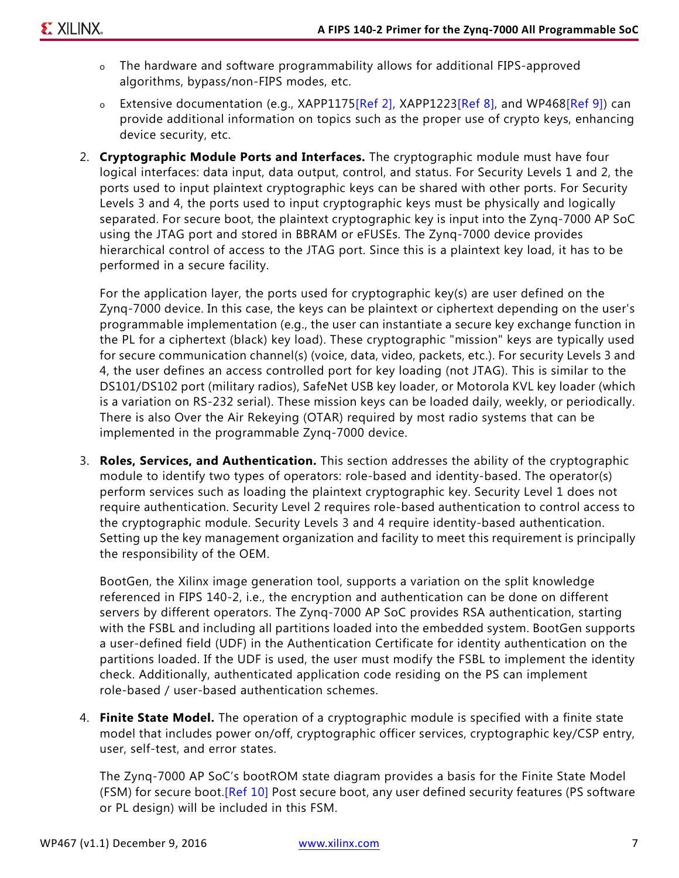- o The hardware and software programmability allows for additional FIPS-approved algorithms, bypass/non-FIPS modes, etc.
- o Extensive documentation (e.g., XAPP1175[\[Ref 2\]](#page-13-1), XAPP1223[\[Ref 8\]](#page-13-9), and WP468[\[Ref 9\]](#page-13-8)) can provide additional information on topics such as the proper use of crypto keys, enhancing device security, etc.
- 2. **Cryptographic Module Ports and Interfaces.** The cryptographic module must have four logical interfaces: data input, data output, control, and status. For Security Levels 1 and 2, the ports used to input plaintext cryptographic keys can be shared with other ports. For Security Levels 3 and 4, the ports used to input cryptographic keys must be physically and logically separated. For secure boot, the plaintext cryptographic key is input into the Zynq-7000 AP SoC using the JTAG port and stored in BBRAM or eFUSEs. The Zynq-7000 device provides hierarchical control of access to the JTAG port. Since this is a plaintext key load, it has to be performed in a secure facility.

For the application layer, the ports used for cryptographic key(s) are user defined on the Zynq-7000 device. In this case, the keys can be plaintext or ciphertext depending on the user's programmable implementation (e.g., the user can instantiate a secure key exchange function in the PL for a ciphertext (black) key load). These cryptographic "mission" keys are typically used for secure communication channel(s) (voice, data, video, packets, etc.). For security Levels 3 and 4, the user defines an access controlled port for key loading (not JTAG). This is similar to the DS101/DS102 port (military radios), SafeNet USB key loader, or Motorola KVL key loader (which is a variation on RS-232 serial). These mission keys can be loaded daily, weekly, or periodically. There is also Over the Air Rekeying (OTAR) required by most radio systems that can be implemented in the programmable Zynq-7000 device.

3. **Roles, Services, and Authentication.** This section addresses the ability of the cryptographic module to identify two types of operators: role-based and identity-based. The operator(s) perform services such as loading the plaintext cryptographic key. Security Level 1 does not require authentication. Security Level 2 requires role-based authentication to control access to the cryptographic module. Security Levels 3 and 4 require identity-based authentication. Setting up the key management organization and facility to meet this requirement is principally the responsibility of the OEM.

BootGen, the Xilinx image generation tool, supports a variation on the split knowledge referenced in FIPS 140-2, i.e., the encryption and authentication can be done on different servers by different operators. The Zynq-7000 AP SoC provides RSA authentication, starting with the FSBL and including all partitions loaded into the embedded system. BootGen supports a user-defined field (UDF) in the Authentication Certificate for identity authentication on the partitions loaded. If the UDF is used, the user must modify the FSBL to implement the identity check. Additionally, authenticated application code residing on the PS can implement role-based / user-based authentication schemes.

4. **Finite State Model.** The operation of a cryptographic module is specified with a finite state model that includes power on/off, cryptographic officer services, cryptographic key/CSP entry, user, self-test, and error states.

The Zynq-7000 AP SoC's bootROM state diagram provides a basis for the Finite State Model (FSM) for secure boot. [\[Ref 10\]](#page-13-7) Post secure boot, any user defined security features (PS software or PL design) will be included in this FSM.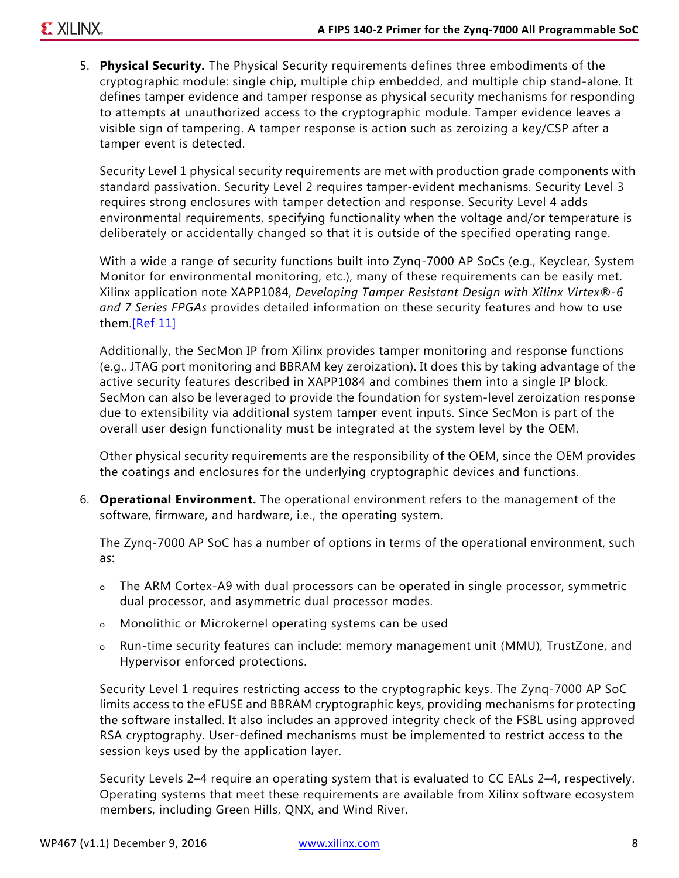5. **Physical Security.** The Physical Security requirements defines three embodiments of the cryptographic module: single chip, multiple chip embedded, and multiple chip stand-alone. It defines tamper evidence and tamper response as physical security mechanisms for responding to attempts at unauthorized access to the cryptographic module. Tamper evidence leaves a visible sign of tampering. A tamper response is action such as zeroizing a key/CSP after a tamper event is detected.

Security Level 1 physical security requirements are met with production grade components with standard passivation. Security Level 2 requires tamper-evident mechanisms. Security Level 3 requires strong enclosures with tamper detection and response. Security Level 4 adds environmental requirements, specifying functionality when the voltage and/or temperature is deliberately or accidentally changed so that it is outside of the specified operating range.

With a wide a range of security functions built into Zynq-7000 AP SoCs (e.g., Keyclear, System Monitor for environmental monitoring, etc.), many of these requirements can be easily met. Xilinx application note XAPP1084, *Developing Tamper Resistant Design with Xilinx Virtex®-6 and 7 Series FPGAs* provides detailed information on these security features and how to use them.[\[Ref 11\]](#page-13-10)

Additionally, the SecMon IP from Xilinx provides tamper monitoring and response functions (e.g., JTAG port monitoring and BBRAM key zeroization). It does this by taking advantage of the active security features described in XAPP1084 and combines them into a single IP block. SecMon can also be leveraged to provide the foundation for system-level zeroization response due to extensibility via additional system tamper event inputs. Since SecMon is part of the overall user design functionality must be integrated at the system level by the OEM.

Other physical security requirements are the responsibility of the OEM, since the OEM provides the coatings and enclosures for the underlying cryptographic devices and functions.

6. **Operational Environment.** The operational environment refers to the management of the software, firmware, and hardware, i.e., the operating system.

The Zynq-7000 AP SoC has a number of options in terms of the operational environment, such as:

- o The ARM Cortex-A9 with dual processors can be operated in single processor, symmetric dual processor, and asymmetric dual processor modes.
- o Monolithic or Microkernel operating systems can be used
- o Run-time security features can include: memory management unit (MMU), TrustZone, and Hypervisor enforced protections.

Security Level 1 requires restricting access to the cryptographic keys. The Zynq-7000 AP SoC limits access to the eFUSE and BBRAM cryptographic keys, providing mechanisms for protecting the software installed. It also includes an approved integrity check of the FSBL using approved RSA cryptography. User-defined mechanisms must be implemented to restrict access to the session keys used by the application layer.

Security Levels 2–4 require an operating system that is evaluated to CC EALs 2–4, respectively. Operating systems that meet these requirements are available from Xilinx software ecosystem members, including Green Hills, QNX, and Wind River.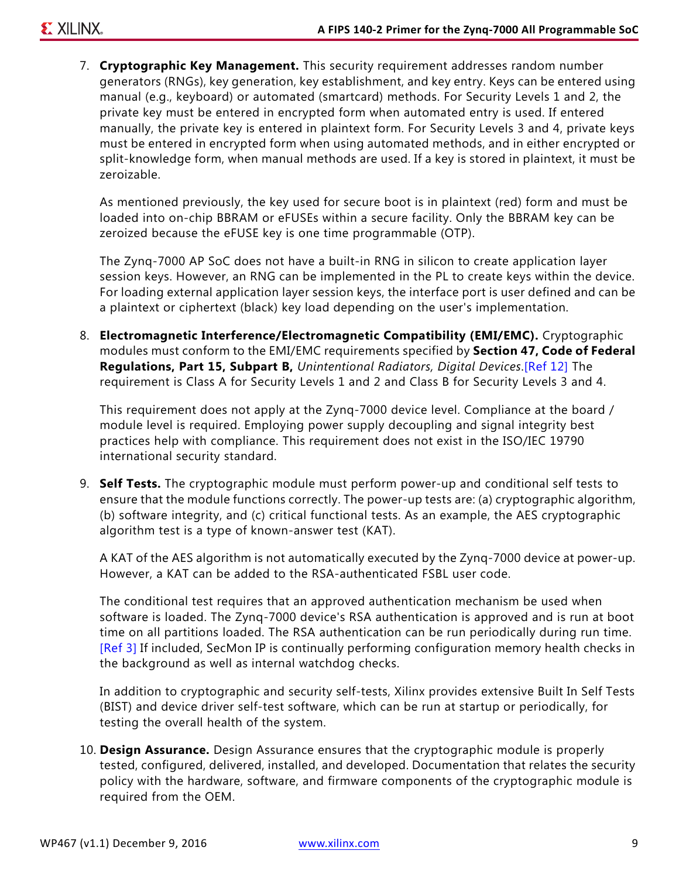7. **Cryptographic Key Management.** This security requirement addresses random number generators (RNGs), key generation, key establishment, and key entry. Keys can be entered using manual (e.g., keyboard) or automated (smartcard) methods. For Security Levels 1 and 2, the private key must be entered in encrypted form when automated entry is used. If entered manually, the private key is entered in plaintext form. For Security Levels 3 and 4, private keys must be entered in encrypted form when using automated methods, and in either encrypted or split-knowledge form, when manual methods are used. If a key is stored in plaintext, it must be zeroizable.

As mentioned previously, the key used for secure boot is in plaintext (red) form and must be loaded into on-chip BBRAM or eFUSEs within a secure facility. Only the BBRAM key can be zeroized because the eFUSE key is one time programmable (OTP).

The Zynq-7000 AP SoC does not have a built-in RNG in silicon to create application layer session keys. However, an RNG can be implemented in the PL to create keys within the device. For loading external application layer session keys, the interface port is user defined and can be a plaintext or ciphertext (black) key load depending on the user's implementation.

8. **Electromagnetic Interference/Electromagnetic Compatibility (EMI/EMC).** Cryptographic modules must conform to the EMI/EMC requirements specified by **Section 47, Code of Federal Regulations, Part 15, Subpart B,** *Unintentional Radiators, Digital Devices*.[\[Ref 12\]](#page-13-11) The requirement is Class A for Security Levels 1 and 2 and Class B for Security Levels 3 and 4.

This requirement does not apply at the Zynq-7000 device level. Compliance at the board / module level is required. Employing power supply decoupling and signal integrity best practices help with compliance. This requirement does not exist in the ISO/IEC 19790 international security standard.

9. **Self Tests.** The cryptographic module must perform power-up and conditional self tests to ensure that the module functions correctly. The power-up tests are: (a) cryptographic algorithm, (b) software integrity, and (c) critical functional tests. As an example, the AES cryptographic algorithm test is a type of known-answer test (KAT).

A KAT of the AES algorithm is not automatically executed by the Zynq-7000 device at power-up. However, a KAT can be added to the RSA-authenticated FSBL user code.

The conditional test requires that an approved authentication mechanism be used when software is loaded. The Zynq-7000 device's RSA authentication is approved and is run at boot time on all partitions loaded. The RSA authentication can be run periodically during run time. [\[Ref 3\]](#page-13-2) If included, SecMon IP is continually performing configuration memory health checks in the background as well as internal watchdog checks.

In addition to cryptographic and security self-tests, Xilinx provides extensive Built In Self Tests (BIST) and device driver self-test software, which can be run at startup or periodically, for testing the overall health of the system.

10. **Design Assurance.** Design Assurance ensures that the cryptographic module is properly tested, configured, delivered, installed, and developed. Documentation that relates the security policy with the hardware, software, and firmware components of the cryptographic module is required from the OEM.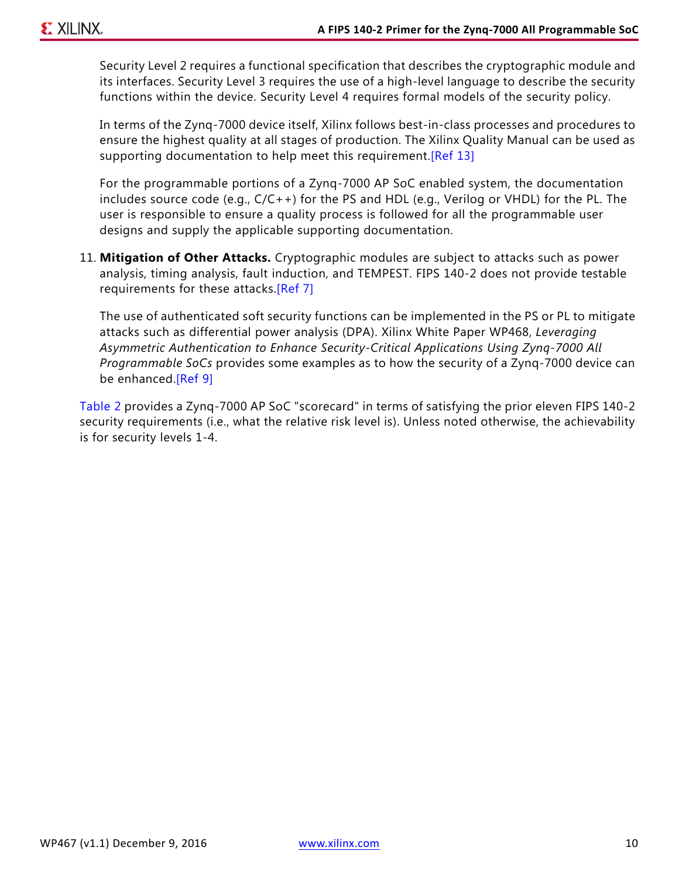Security Level 2 requires a functional specification that describes the cryptographic module and its interfaces. Security Level 3 requires the use of a high-level language to describe the security functions within the device. Security Level 4 requires formal models of the security policy.

In terms of the Zynq-7000 device itself, Xilinx follows best-in-class processes and procedures to ensure the highest quality at all stages of production. The Xilinx Quality Manual can be used as supporting documentation to help meet this requirement. [Ref 13]

For the programmable portions of a Zynq-7000 AP SoC enabled system, the documentation includes source code (e.g., C/C++) for the PS and HDL (e.g., Verilog or VHDL) for the PL. The user is responsible to ensure a quality process is followed for all the programmable user designs and supply the applicable supporting documentation.

11. **Mitigation of Other Attacks.** Cryptographic modules are subject to attacks such as power analysis, timing analysis, fault induction, and TEMPEST. FIPS 140-2 does not provide testable requirements for these attacks.[\[Ref 7\]](#page-13-5)

The use of authenticated soft security functions can be implemented in the PS or PL to mitigate attacks such as differential power analysis (DPA). Xilinx White Paper WP468, *Leveraging Asymmetric Authentication to Enhance Security-Critical Applications Using Zynq-7000 All Programmable SoCs* provides some examples as to how the security of a Zynq-7000 device can be enhanced.[\[Ref 9\]](#page-13-8)

[Table 2](#page-10-1) provides a Zynq-7000 AP SoC "scorecard" in terms of satisfying the prior eleven FIPS 140-2 security requirements (i.e., what the relative risk level is). Unless noted otherwise, the achievability is for security levels 1-4.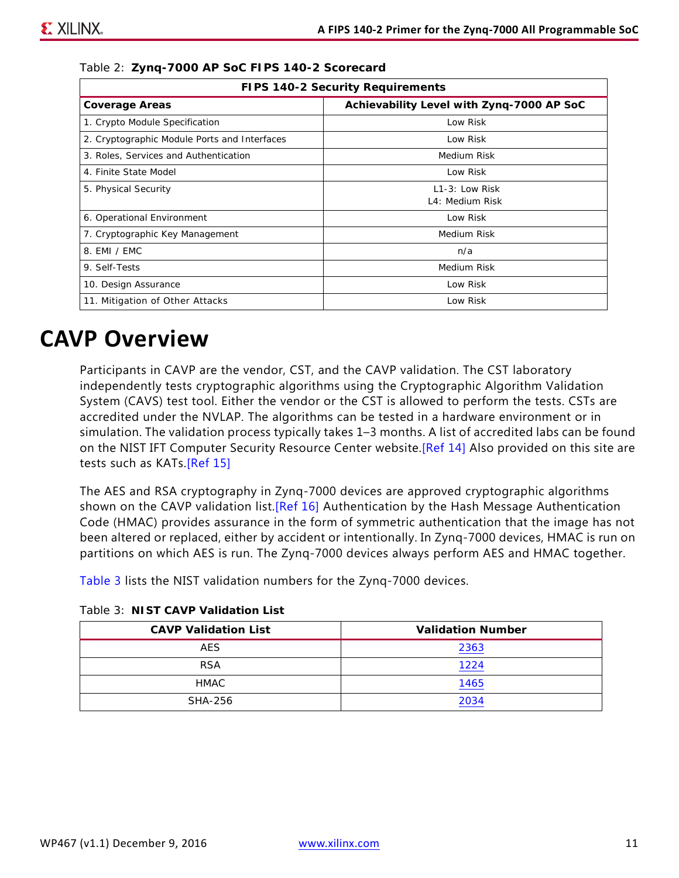| <b>FIPS 140-2 Security Requirements</b>      |                                           |  |
|----------------------------------------------|-------------------------------------------|--|
| <b>Coverage Areas</b>                        | Achievability Level with Zynq-7000 AP SoC |  |
| 1. Crypto Module Specification               | Low Risk                                  |  |
| 2. Cryptographic Module Ports and Interfaces | Low Risk                                  |  |
| 3. Roles, Services and Authentication        | Medium Risk                               |  |
| 4. Finite State Model                        | Low Risk                                  |  |
| 5. Physical Security                         | $L1-3$ : Low Risk                         |  |
|                                              | L4: Medium Risk                           |  |
| 6. Operational Environment                   | Low Risk                                  |  |
| 7. Cryptographic Key Management              | Medium Risk                               |  |
| 8. EMI / EMC                                 | n/a                                       |  |
| 9. Self-Tests                                | Medium Risk                               |  |
| 10. Design Assurance                         | Low Risk                                  |  |
| 11. Mitigation of Other Attacks              | Low Risk                                  |  |

<span id="page-10-1"></span>*Table 2:* **Zynq-7000 AP SoC FIPS 140-2 Scorecard**

### <span id="page-10-0"></span>**CAVP Overview**

Participants in CAVP are the vendor, CST, and the CAVP validation. The CST laboratory independently tests cryptographic algorithms using the Cryptographic Algorithm Validation System (CAVS) test tool. Either the vendor or the CST is allowed to perform the tests. CSTs are accredited under the NVLAP. The algorithms can be tested in a hardware environment or in simulation. The validation process typically takes 1–3 months. A list of accredited labs can be found on the NIST IFT Computer Security Resource Center website. [\[Ref 14\]](#page-13-13) Also provided on this site are tests such as KATs[.\[Ref 15\]](#page-13-14)

The AES and RSA cryptography in Zynq-7000 devices are approved cryptographic algorithms shown on the CAVP validation list. [\[Ref 16\]](#page-13-15) Authentication by the Hash Message Authentication Code (HMAC) provides assurance in the form of symmetric authentication that the image has not been altered or replaced, either by accident or intentionally. In Zynq-7000 devices, HMAC is run on partitions on which AES is run. The Zynq-7000 devices always perform AES and HMAC together.

[Table 3](#page-10-2) lists the NIST validation numbers for the Zynq-7000 devices.

| <b>CAVP Validation List</b> | <b>Validation Number</b> |
|-----------------------------|--------------------------|
| <b>AES</b>                  | 2363                     |
| <b>RSA</b>                  | 1224                     |
| HMAC                        | 1465                     |
| SHA-256                     | 2034                     |

<span id="page-10-2"></span>*Table 3:* **NIST CAVP Validation List**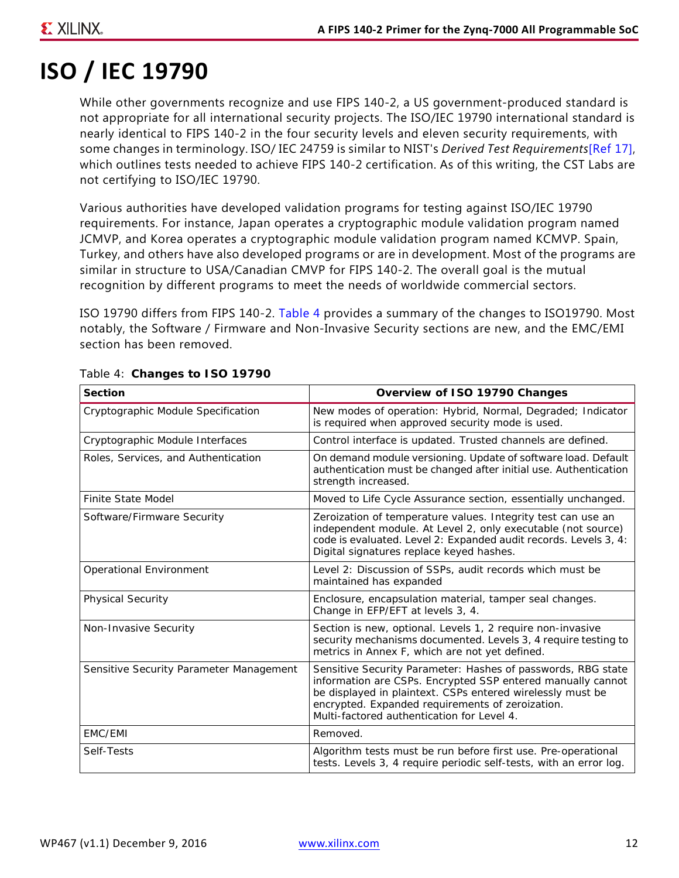### **EXILINX**

# <span id="page-11-0"></span>**ISO / IEC 19790**

While other governments recognize and use FIPS 140-2, a US government-produced standard is not appropriate for all international security projects. The ISO/IEC 19790 international standard is nearly identical to FIPS 140-2 in the four security levels and eleven security requirements, with some changes in terminology. ISO/ IEC 24759 is similar to NIST's *Derived Test Requirements*[\[Ref 17\],](#page-13-16) which outlines tests needed to achieve FIPS 140-2 certification. As of this writing, the CST Labs are not certifying to ISO/IEC 19790.

Various authorities have developed validation programs for testing against ISO/IEC 19790 requirements. For instance, Japan operates a cryptographic module validation program named JCMVP, and Korea operates a cryptographic module validation program named KCMVP. Spain, Turkey, and others have also developed programs or are in development. Most of the programs are similar in structure to USA/Canadian CMVP for FIPS 140-2. The overall goal is the mutual recognition by different programs to meet the needs of worldwide commercial sectors.

ISO 19790 differs from FIPS 140-2. [Table 4](#page-11-1) provides a summary of the changes to ISO19790. Most notably, the Software / Firmware and Non-Invasive Security sections are new, and the EMC/EMI section has been removed.

| <b>Section</b>                          | Overview of ISO 19790 Changes                                                                                                                                                                                                                                                               |
|-----------------------------------------|---------------------------------------------------------------------------------------------------------------------------------------------------------------------------------------------------------------------------------------------------------------------------------------------|
| Cryptographic Module Specification      | New modes of operation: Hybrid, Normal, Degraded; Indicator<br>is required when approved security mode is used.                                                                                                                                                                             |
| Cryptographic Module Interfaces         | Control interface is updated. Trusted channels are defined.                                                                                                                                                                                                                                 |
| Roles, Services, and Authentication     | On demand module versioning. Update of software load. Default<br>authentication must be changed after initial use. Authentication<br>strength increased.                                                                                                                                    |
| <b>Finite State Model</b>               | Moved to Life Cycle Assurance section, essentially unchanged.                                                                                                                                                                                                                               |
| Software/Firmware Security              | Zeroization of temperature values. Integrity test can use an<br>independent module. At Level 2, only executable (not source)<br>code is evaluated. Level 2: Expanded audit records. Levels 3, 4:<br>Digital signatures replace keyed hashes.                                                |
| <b>Operational Environment</b>          | Level 2: Discussion of SSPs, audit records which must be<br>maintained has expanded                                                                                                                                                                                                         |
| <b>Physical Security</b>                | Enclosure, encapsulation material, tamper seal changes.<br>Change in EFP/EFT at levels 3, 4.                                                                                                                                                                                                |
| Non-Invasive Security                   | Section is new, optional. Levels 1, 2 require non-invasive<br>security mechanisms documented. Levels 3, 4 require testing to<br>metrics in Annex F, which are not yet defined.                                                                                                              |
| Sensitive Security Parameter Management | Sensitive Security Parameter: Hashes of passwords, RBG state<br>information are CSPs. Encrypted SSP entered manually cannot<br>be displayed in plaintext. CSPs entered wirelessly must be<br>encrypted. Expanded requirements of zeroization.<br>Multi-factored authentication for Level 4. |
| EMC/EMI                                 | Removed.                                                                                                                                                                                                                                                                                    |
| Self-Tests                              | Algorithm tests must be run before first use. Pre-operational<br>tests. Levels 3, 4 require periodic self-tests, with an error log.                                                                                                                                                         |

#### <span id="page-11-1"></span>*Table 4:* **Changes to ISO 19790**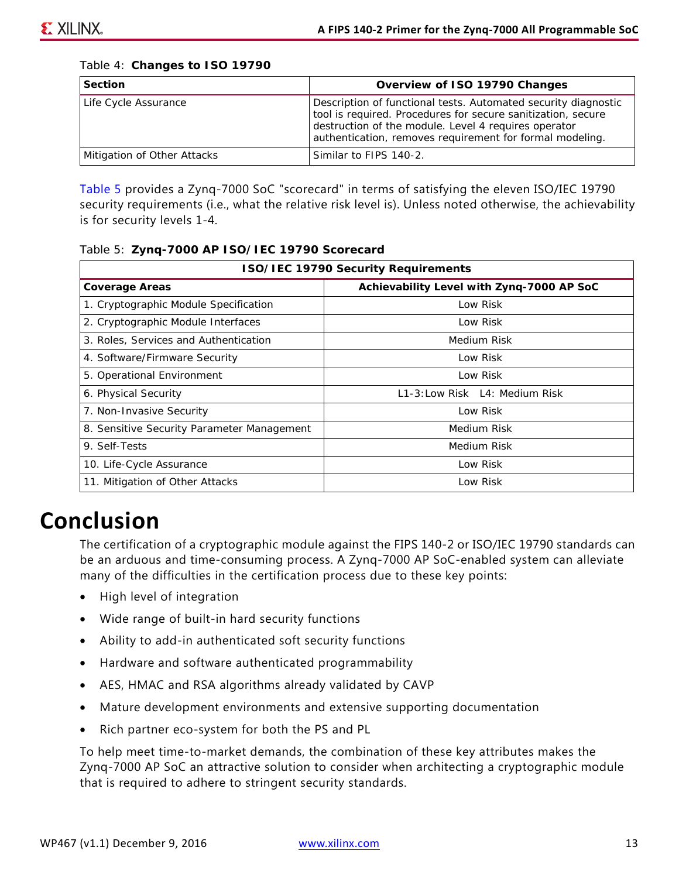| <b>Section</b>              | Overview of ISO 19790 Changes                                                                                                                                                                                                                      |
|-----------------------------|----------------------------------------------------------------------------------------------------------------------------------------------------------------------------------------------------------------------------------------------------|
| Life Cycle Assurance        | Description of functional tests. Automated security diagnostic<br>tool is required. Procedures for secure sanitization, secure<br>destruction of the module. Level 4 requires operator<br>authentication, removes requirement for formal modeling. |
| Mitigation of Other Attacks | Similar to FIPS 140-2.                                                                                                                                                                                                                             |

*Table 4:* **Changes to ISO 19790**

[Table 5](#page-12-0) provides a Zynq-7000 SoC "scorecard" in terms of satisfying the eleven ISO/IEC 19790 security requirements (i.e., what the relative risk level is). Unless noted otherwise, the achievability is for security levels 1-4.

#### <span id="page-12-0"></span>*Table 5:* **Zynq-7000 AP ISO/IEC 19790 Scorecard**

| <b>ISO/IEC 19790 Security Requirements</b> |                                           |  |
|--------------------------------------------|-------------------------------------------|--|
| <b>Coverage Areas</b>                      | Achievability Level with Zynq-7000 AP SoC |  |
| 1. Cryptographic Module Specification      | Low Risk                                  |  |
| 2. Cryptographic Module Interfaces         | Low Risk                                  |  |
| 3. Roles, Services and Authentication      | Medium Risk                               |  |
| 4. Software/Firmware Security              | Low Risk                                  |  |
| 5. Operational Environment                 | Low Risk                                  |  |
| 6. Physical Security                       | L1-3: Low Risk L4: Medium Risk            |  |
| 7. Non-Invasive Security                   | Low Risk                                  |  |
| 8. Sensitive Security Parameter Management | Medium Risk                               |  |
| 9. Self-Tests                              | Medium Risk                               |  |
| 10. Life-Cycle Assurance                   | Low Risk                                  |  |
| 11. Mitigation of Other Attacks            | Low Risk                                  |  |

### **Conclusion**

The certification of a cryptographic module against the FIPS 140-2 or ISO/IEC 19790 standards can be an arduous and time-consuming process. A Zynq-7000 AP SoC-enabled system can alleviate many of the difficulties in the certification process due to these key points:

- High level of integration
- Wide range of built-in hard security functions
- Ability to add-in authenticated soft security functions
- Hardware and software authenticated programmability
- AES, HMAC and RSA algorithms already validated by CAVP
- Mature development environments and extensive supporting documentation
- Rich partner eco-system for both the PS and PL

To help meet time-to-market demands, the combination of these key attributes makes the Zynq-7000 AP SoC an attractive solution to consider when architecting a cryptographic module that is required to adhere to stringent security standards.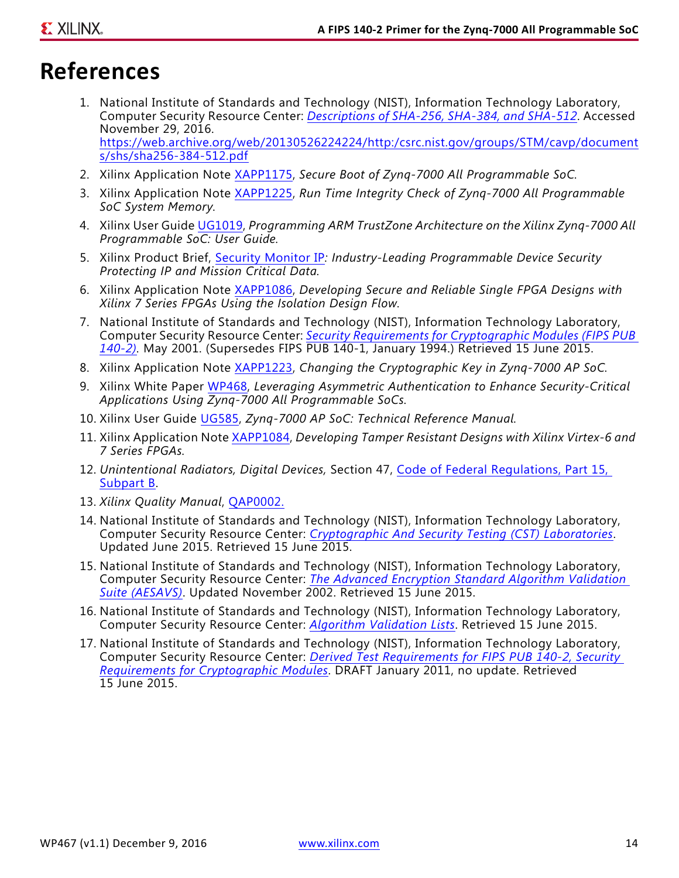### **References**

- <span id="page-13-0"></span>1. National Institute of Standards and Technology (NIST), Information Technology Laboratory, Computer Security Resource Center: *Descriptions of SHA-256, SHA-384, and SHA-512*. Accessed November 29, 2016. [https://web.archive.org/web/20130526224224/http:/csrc.nist.gov/groups/STM/cavp/document](https://web.archive.org/web/20130526224224/http:/csrc.nist.gov/groups/STM/cavp/documents/shs/sha256-384-512.pdf) s/shs/sha256-384-512.pdf
- <span id="page-13-1"></span>2. Xilinx Application Note [XAPP1175](http://www.xilinx.com/support/documentation/application_notes/xapp1175_zynq_secure_boot.pdf), *Secure Boot of Zynq-7000 All Programmable SoC.*
- <span id="page-13-2"></span>3. Xilinx Application Note [XAPP1225](http://www.xilinx.com/support/documentation/application_notes/xapp1225-rtic.pdf), *Run Time Integrity Check of Zynq-7000 All Programmable SoC System Memory.*
- <span id="page-13-3"></span>4. Xilinx User Guide [UG1019](http://www.xilinx.com/support/documentation/user_guides/ug1019-zynq-trustzone.pdf), *Programming ARM TrustZone Architecture on the Xilinx Zynq-7000 All Programmable SoC: User Guide.*
- <span id="page-13-6"></span>5. Xilinx Product Brief, [Security Monitor IP](http://www.xilinx.com/support/documentation/product-briefs/security-monitor-ip-core-product-brief.pdf)*: Industry-Leading Programmable Device Security Protecting IP and Mission Critical Data.*
- <span id="page-13-4"></span>6. Xilinx Application Note [XAPP1086](http://www.xilinx.com/support/documentation/application_notes/xapp1086-secure-single-fpga-using-7s-idf.pdf), *Developing Secure and Reliable Single FPGA Designs with Xilinx 7 Series FPGAs Using the Isolation Design Flow.*
- <span id="page-13-5"></span>7. National Institute of Standards and Technology (NIST), Information Technology Laboratory, Computer Security Resource Center: *[Security Requirements for Cryptographic Modules \(FIPS PUB](http://csrc.nist.gov/publications/fips/fips140-2/fips1402.pdf)  [140-2\)](http://csrc.nist.gov/publications/fips/fips140-2/fips1402.pdf).* May 2001. (Supersedes FIPS PUB 140-1, January 1994.) Retrieved 15 June 2015.
- <span id="page-13-9"></span>8. Xilinx Application Note [XAPP1223](http://www.xilinx.com/support/documentation/application_notes/xapp1223-crypto-key-change.pdf), *Changing the Cryptographic Key in Zynq-7000 AP SoC.*
- <span id="page-13-8"></span>9. Xilinx White Paper [WP468](http://www.xilinx.com/support/documentation/white_papers/wp468_asym-auth-zynq-7000.pdf), *Leveraging Asymmetric Authentication to Enhance Security-Critical Applications Using Zynq-7000 All Programmable SoCs.*
- <span id="page-13-7"></span>10. Xilinx User Guide [UG585,](http://www.xilinx.com/support/documentation/user_guides/ug585-Zynq-7000-TRM.pdf) *Zynq-7000 AP SoC: Technical Reference Manual.*
- <span id="page-13-10"></span>11. Xilinx Application Note [XAPP1084,](http://www.xilinx.com/support/documentation/application_notes/xapp1084_tamp_resist_dsgns.pdf) *Developing Tamper Resistant Designs with Xilinx Virtex-6 and 7 Series FPGAs.*
- <span id="page-13-11"></span>12. *Unintentional Radiators, Digital Devices,* Section 47, [Code of Federal Regulations, Part 15,](https://www.gpo.gov/fdsys/pkg/CFR-2015-title47-vol1/pdf/CFR-2015-title47-vol1-part15.pdf)  [Subpart B](https://www.gpo.gov/fdsys/pkg/CFR-2015-title47-vol1/pdf/CFR-2015-title47-vol1-part15.pdf).
- <span id="page-13-12"></span>13. *Xilinx Quality Manual*, [QAP0002.](http://www.xilinx.com/products/quality/QualityManual.pdf)
- <span id="page-13-13"></span>14. National Institute of Standards and Technology (NIST), Information Technology Laboratory, Computer Security Resource Center: *[Cryptographic And Security Testing \(CST\) Laboratories](http://csrc.nist.gov/groups/STM/testing_labs/index.html)*. Updated June 2015. Retrieved 15 June 2015.
- <span id="page-13-14"></span>15. National Institute of Standards and Technology (NIST), Information Technology Laboratory, Computer Security Resource Center: *[The Advanced Encryption Standard Algorithm Validation](http://csrc.nist.gov/groups/STM/cavp/documents/aes/AESAVS.pdf)  [Suite \(AESAVS\)](http://csrc.nist.gov/groups/STM/cavp/documents/aes/AESAVS.pdf)*. Updated November 2002. Retrieved 15 June 2015.
- <span id="page-13-15"></span>16. National Institute of Standards and Technology (NIST), Information Technology Laboratory, Computer Security Resource Center: *[Algorithm Validation Lists](http://csrc.nist.gov/groups/STM/cavp/validation.html)*. Retrieved 15 June 2015.
- <span id="page-13-16"></span>17. National Institute of Standards and Technology (NIST), Information Technology Laboratory, Computer Security Resource Center: *[Derived Test Requirements for FIPS PUB 140-2, Security](http://csrc.nist.gov/groups/STM/cmvp/documents/fips140-2/FIPS1402DTR.pdf)  [Requirements for Cryptographic Modules](http://csrc.nist.gov/groups/STM/cmvp/documents/fips140-2/FIPS1402DTR.pdf)*. DRAFT January 2011, no update. Retrieved 15 June 2015.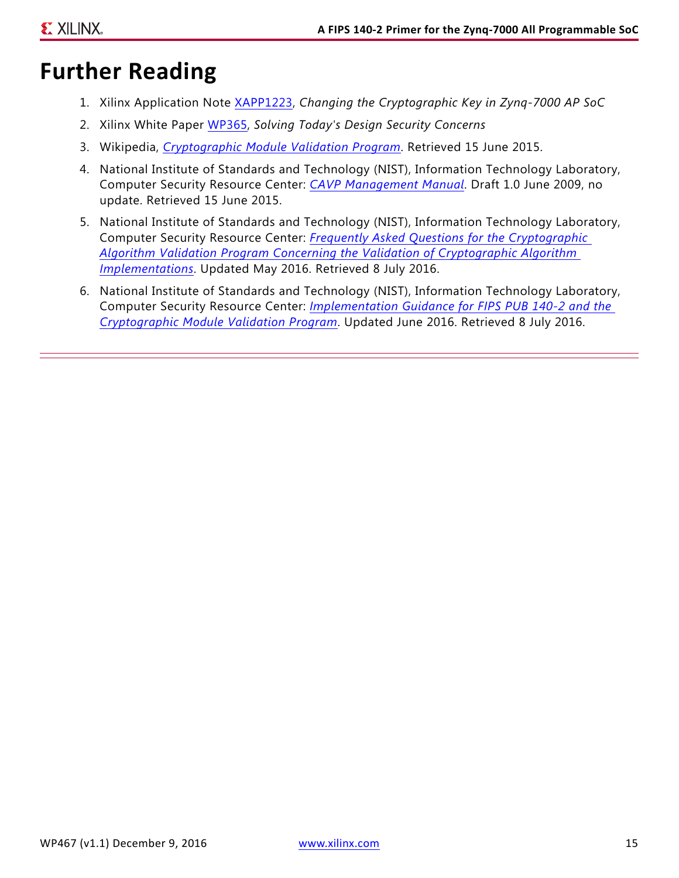### **Further Reading**

- 1. Xilinx Application Note [XAPP1223](http://www.xilinx.com/support/documentation/application_notes/xapp1223-crypto-key-change.pdf), *Changing the Cryptographic Key in Zynq-7000 AP SoC*
- 2. Xilinx White Paper [WP365](http://www.xilinx.com/support/documentation/white_papers/wp365_Solving_Security_Concerns.pdf), *Solving Today's Design Security Concerns*
- 3. Wikipedia, *[Cryptographic Module Validation Program](https://en.wikipedia.org/wiki/Cryptographic_Module_Validation_Program)*. Retrieved 15 June 2015.
- 4. National Institute of Standards and Technology (NIST), Information Technology Laboratory, Computer Security Resource Center: *[CAVP Management Manual](http://csrc.nist.gov/groups/STM/cavp/documents/CAVPMM.pdf)*. Draft 1.0 June 2009, no update. Retrieved 15 June 2015.
- 5. National Institute of Standards and Technology (NIST), Information Technology Laboratory, Computer Security Resource Center: *[Frequently Asked Questions for the Cryptographic](http://csrc.nist.gov/groups/STM/cavp/documents/CAVPFAQ.pdf)  [Algorithm Validation Program Concerning the Validation of Cryptographic Algorithm](http://csrc.nist.gov/groups/STM/cavp/documents/CAVPFAQ.pdf)  [Implementations](http://csrc.nist.gov/groups/STM/cavp/documents/CAVPFAQ.pdf)*. Updated May 2016. Retrieved 8 July 2016.
- 6. National Institute of Standards and Technology (NIST), Information Technology Laboratory, Computer Security Resource Center: *[Implementation Guidance for FIPS PUB 140-2 and the](http://csrc.nist.gov/groups/STM/cmvp/documents/fips140-2/FIPS1402IG.pdf)  [Cryptographic Module Validation Program](http://csrc.nist.gov/groups/STM/cmvp/documents/fips140-2/FIPS1402IG.pdf)*. Updated June 2016. Retrieved 8 July 2016.